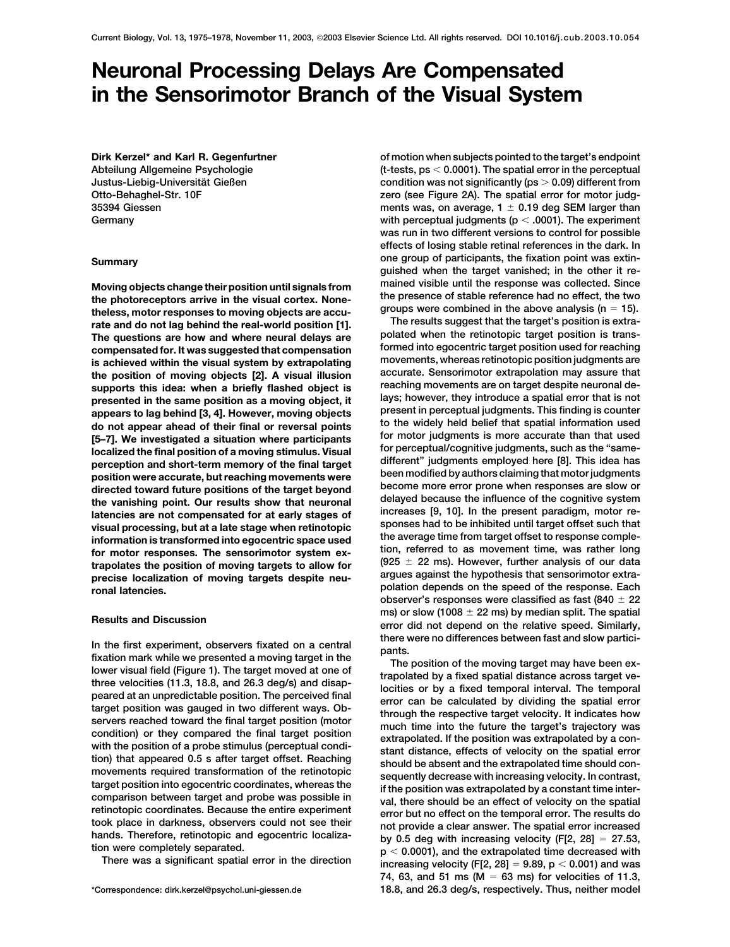# **Neuronal Processing Delays Are Compensated in the Sensorimotor Branch of the Visual System**

**Dirk Kerzel\* and Karl R. Gegenfurtner Abteilung Allgemeine Psychologie Justus-Liebig-Universita¨t Gießen**

the photoreceptors arive in the visual cortex. None-<br>the presence of stable reference had no effect, the two<br>theless, motor responses to moving objects are accu-<br>rate and do not lag behind the real-world position is the ab directed toward future positions of the target beyond<br>the vanishing point. Our results show that neuronal delayed because the influence of the cognitive system<br>latencies are not componented for at early stages of increases

In the first experiment, observers fixated on a central<br>
fixation mark while we presented a moving target in the windiple presented a moving arget in the moving arget that<br>
flower visual field (Figure 1). The target moved

**of motion when subjects pointed to the target's endpoint (t-tests, ps 0.0001). The spatial error in the perceptual condition was not significantly (ps** - **0.09) different from** Otto-Behaghel-Str. 10F **zero (see Figure 2A).** The spatial error for motor judg-**35394 Giessen ments was, on average, 1 0.19 deg SEM larger than Germany with perceptual judgments (p .0001). The experiment was run in two different versions to control for possible effects of losing stable retinal references in the dark. In Summary be group of participants, the fixation point was extin-**<br>guished when the target vanished; in the other it re-**Moving objects change their position until signals from mained visible until the response was collected. Since**

Value not compensated for at early stages of<br>
increases [9, 10]. In the present paradigm, motor re-<br>
visual processing, but at a late stage when retinotopic<br>
information is transformed into egocentric space used<br>
for moto **observer's responses were classified as fast (840 22 ms) or slow (1008 22 ms) by median split. The spatial Results and Discussion error did not depend on the relative speed. Similarly,**

**74, 63, and 51 ms (M 63 ms) for velocities of 11.3, \*Correspondence: dirk.kerzel@psychol.uni-giessen.de 18.8, and 26.3 deg/s, respectively. Thus, neither model**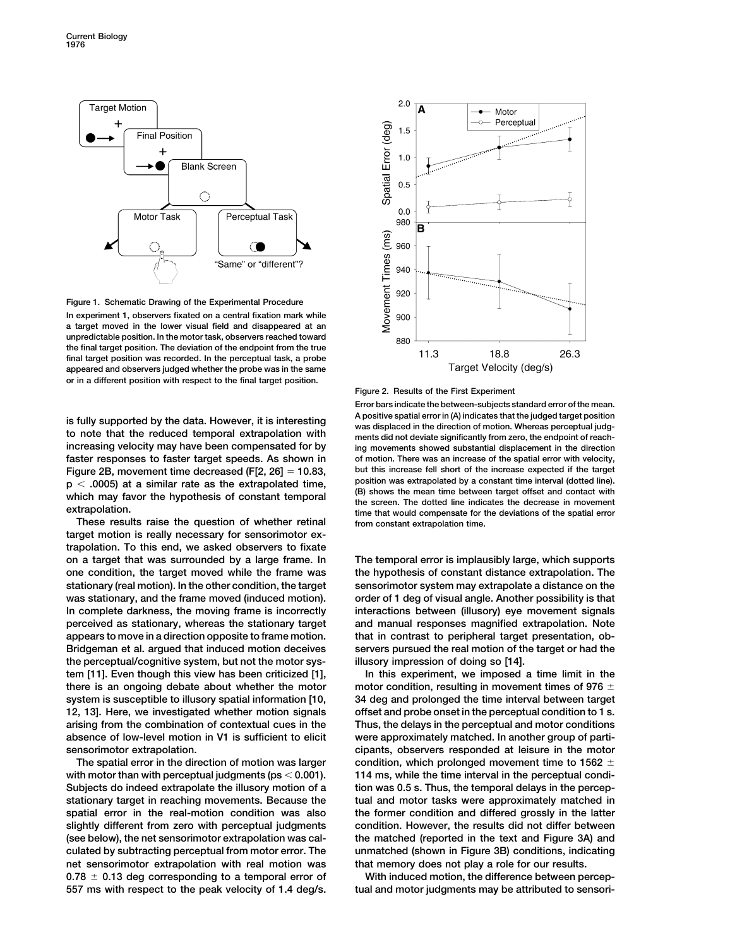

**Figure 1. Schematic Drawing of the Experimental Procedure In experiment 1, observers fixated on a central fixation mark while a target moved in the lower visual field and disappeared at an unpredictable position. In the motor task, observers reached toward the final target position. The deviation of the endpoint from the true final target position was recorded. In the perceptual task, a probe appeared and observers judged whether the probe was in the same or in a different position with respect to the final target position.**

**faster responses to faster target speeds. As shown in** of motion. There was an increase of the spatial error with velocity,<br>Figure 2B, movement time decreased (FI2, 26] = 10.83 but this increase fell short of the increase **Figure 2B, movement time decreased (F[2, 26] = 10.83,** but this increase fell short of the increase expected if the target<br>position was extrapolated by a constant time interval (dotted line).  $p < .0005$ ) at a similar rate as the extrapolated time,<br>which may favor the hypothesis of constant temporal<br>extrapolation.<br>extrapolation.<br>time that would compensate for the deviations of the satial error

**These results raise the question of whether retinal from constant extrapolation time. target motion is really necessary for sensorimotor extrapolation. To this end, we asked observers to fixate on a target that was surrounded by a large frame. In The temporal error is implausibly large, which supports one condition, the target moved while the frame was the hypothesis of constant distance extrapolation. The stationary (real motion). In the other condition, the target sensorimotor system may extrapolate a distance on the was stationary, and the frame moved (induced motion). order of 1 deg of visual angle. Another possibility is that In complete darkness, the moving frame is incorrectly interactions between (illusory) eye movement signals perceived as stationary, whereas the stationary target and manual responses magnified extrapolation. Note appears to move in a direction opposite to frame motion. that in contrast to peripheral target presentation, ob-Bridgeman et al. argued that induced motion deceives servers pursued the real motion of the target or had the the perceptual/cognitive system, but not the motor sys- illusory impression of doing so [14]. tem [11]. Even though this view has been criticized [1], In this experiment, we imposed a time limit in the** there is an ongoing debate about whether the motor motor condition, resulting in movement times of 976  $\pm$ **system is susceptible to illusory spatial information [10, 34 deg and prolonged the time interval between target 12, 13]. Here, we investigated whether motion signals offset and probe onset in the perceptual condition to 1 s. arising from the combination of contextual cues in the Thus, the delays in the perceptual and motor conditions absence of low-level motion in V1 is sufficient to elicit were approximately matched. In another group of parti-**

**with motor than with perceptual judgments (ps 0.001). 114 ms, while the time interval in the perceptual condi-Subjects do indeed extrapolate the illusory motion of a tion was 0.5 s. Thus, the temporal delays in the percepstationary target in reaching movements. Because the tual and motor tasks were approximately matched in spatial error in the real-motion condition was also the former condition and differed grossly in the latter slightly different from zero with perceptual judgments condition. However, the results did not differ between (see below), the net sensorimotor extrapolation was cal- the matched (reported in the text and Figure 3A) and culated by subtracting perceptual from motor error. The unmatched (shown in Figure 3B) conditions, indicating net sensorimotor extrapolation with real motion was that memory does not play a role for our results. 0.78 0.13 deg corresponding to a temporal error of With induced motion, the difference between percep-557 ms with respect to the peak velocity of 1.4 deg/s. tual and motor judgments may be attributed to sensori-**



**Figure 2. Results of the First Experiment**

**Error bars indicate the between-subjects standard error of the mean.** is fully supported by the data. However, it is interesting<br>to note that the reduced temporal extrapolation with<br>increasing velocity may have been compensated for by<br>ing movements showed substantial displacement in the dire ing movements showed substantial displacement in the direction time that would compensate for the deviations of the spatial error

**sensorimotor extrapolation. cipants, observers responded at leisure in the motor The spatial error in the direction of motion was larger condition, which prolonged movement time to 1562**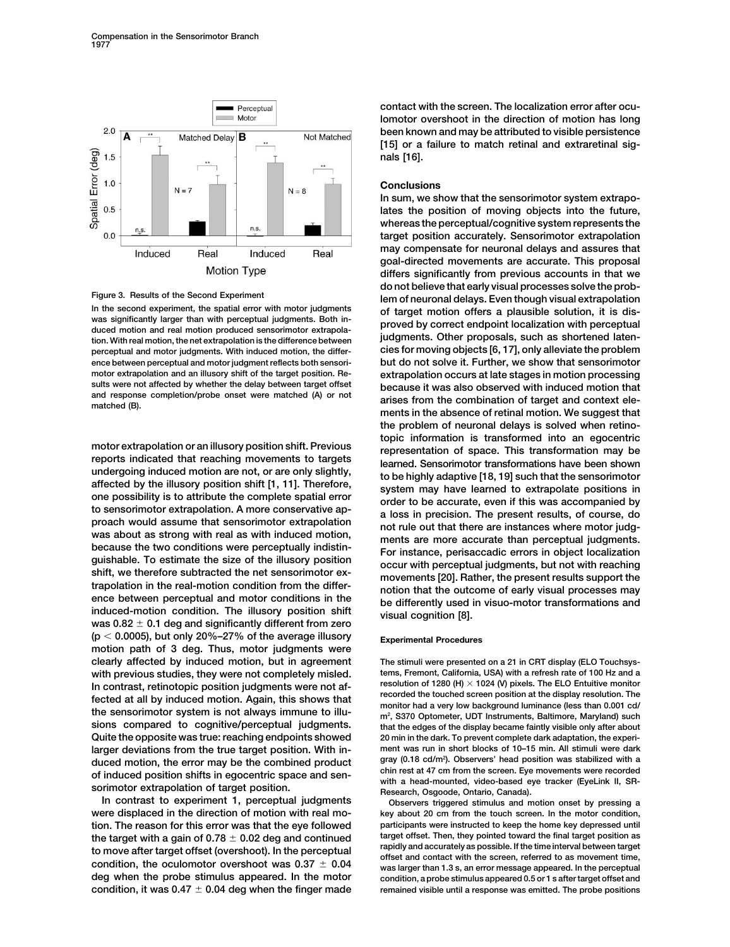

In the second experiment, the spatial error with motor judgments<br>was significantly larger than with perceptual judgments. Both in-<br>duced motion and real motion produced sensorimotor extrapola-<br>tion. With real motion, the n **perceptual and motor judgments. With induced motion, the differ- cies for moving objects [6, 17], only alleviate the problem ence between perceptual and motor judgment reflects both sensori- but do not solve it. Further, we show that sensorimotor motor extrapolation and an illusory shift of the target position. Re- extrapolation occurs at late stages in motion processing** sults were not affected by whether the delay between target offset<br>and response completion/probe onset were matched (A) or not

undergoing induced motion are not, or are only slightly,<br>
able bighly adaptive [18, 19] such that the sensorimotor<br>
one possibility is to attribute the complete spatial error<br>
one possibility is to attribute the complete s **(p 0.0005), but only 20%–27% of the average illusory Experimental Procedures motion path of 3 deg. Thus, motor judgments were clearly affected by induced motion, but in agreement The stimuli were presented on a 21 in CRT display (ELO Touchsyswith previous studies, they were not completely misled. tems, Fremont, California, USA) with a refresh rate of 100 Hz and a** In contrast, retinotopic position judgments were not af-<br>fected at all by induced motion. Again, this shows that<br>the sensorimotor system is not always immune to illu-<br>the sensorimotor system is not always immune to illu-<br> **sions compared to cognitive/perceptual judgments. that the edges of the display became faintly visible only after about Quite the opposite was true: reaching endpoints showed 20 min in the dark. To prevent complete dark adaptation, the experilarger deviations from the true target position. With in- ment was run in short blocks of 10–15 min. All stimuli were dark**

**In contrast to experiment 1, perceptual judgments Observers triggered stimulus and motion onset by pressing a were displaced in the direction of motion with real mo- key about 20 cm from the touch screen. In the motor condition, deg when the probe stimulus appeared. In the motor condition, a probe stimulus appeared 0.5 or 1 s after target offset and condition, it was 0.47 0.04 deg when the finger made remained visible until a response was emitted. The probe positions**

**contact with the screen. The localization error after oculomotor overshoot in the direction of motion has long been known and may be attributed to visible persistence [15] or a failure to match retinal and extraretinal signals [16].**

# **Conclusions**

**In sum, we show that the sensorimotor system extrapolates the position of moving objects into the future, whereas the perceptual/cognitive system represents the target position accurately. Sensorimotor extrapolation may compensate for neuronal delays and assures that goal-directed movements are accurate. This proposal differs significantly from previous accounts in that we do not believe that early visual processes solve the prob-**<br>*Figure 3.* **Results of the Second Experiment<br>In the second experiment, the spatial error with motor judgments<br><b>of target motion offers a plausible solution** it **and response completion/probe onset were matched (A) or not arises from the combination of target and context ele- matched (B). ments in the absence of retinal motion. We suggest that the problem of neuronal delays is solved when retino**motor extrapolation or an illusory position shift. Previous<br>representation of space. This transformation may be<br>reports indicated that reaching movements to targets<br>undergoing induced motion are not, or are only slightly,<br>

gray (0.18 cd/m<sup>2</sup>). Observers' head position was stabilized with a duced motion, the error may be the combined product<br>of induced position shifts in egocentric space and sen-<br>sorimotor extrapolation of target position.<br>Neth a head-mounted, video-based eye tracker (EyeLink II, SR-<br>Research

**participants were instructed to keep the home key depressed until**<br>the target with a gain of 0.78 + 0.02 deg and continued target offset. Then, they pointed toward the final target position as the target with a gain of  $0.78 \pm 0.02$  deg and continued<br>to move after target offset (overshoot). In the perceptual<br>condition, the oculomotor overshoot was  $0.37 \pm 0.04$ <br>was larger than 1.3 s, an error message appeared.